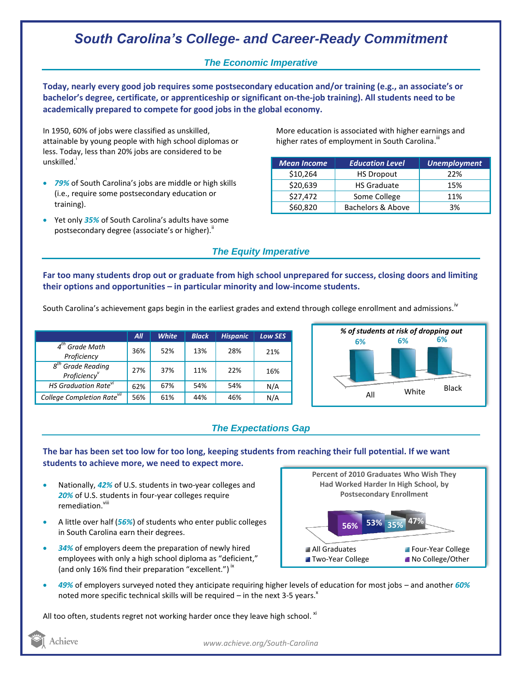# *South Carolina's College- and Career-Ready Commitment*

### *The Economic Imperative*

**Today, nearly every good job requires some postsecondary education and/or training (e.g., an associate's or bachelor's degree, certificate, or apprenticeship or significant on-the-job training). All students need to be academically prepared to compete for good jobs in the global economy.**

In 1950, 60% of jobs were classified as unskilled, attainable by young people with high school diplomas or less. Today, less than 20% jobs are considered to be unskilled.<sup>1</sup>

- *79%* of South Carolina's jobs are middle or high skills (i.e., require some postsecondary education or training).
- Yet only *35%* of South Carolina's adults have some postsecondary degree (associate's or higher)."

More education is associated with higher earnings and higher rates of employment in South Carolina. $^{\text{\text{III}}}$ 

| <b>Mean Income</b> | <b>Education Level</b> | <b>Unemployment</b> |
|--------------------|------------------------|---------------------|
| \$10,264           | <b>HS Dropout</b>      | 22%                 |
| \$20,639           | <b>HS Graduate</b>     | 15%                 |
| \$27,472           | Some College           | 11%                 |
| \$60,820           | Bachelors & Above      | 3%                  |

### *The Equity Imperative*

**Far too many students drop out or graduate from high school unprepared for success, closing doors and limiting their options and opportunities – in particular minority and low-income students.** 

South Carolina's achievement gaps begin in the earliest grades and extend through college enrollment and admissions.<sup>iv</sup>

|                                                 | All | <b>White</b> | <b>Black</b> | <b>Hispanic</b> | Low SES |
|-------------------------------------------------|-----|--------------|--------------|-----------------|---------|
| $4th$ Grade Math<br>Proficiency                 | 36% | 52%          | 13%          | 28%             | 21%     |
| $g^{th}$<br><b>Grade Reading</b><br>Proficiency | 27% | 37%          | 11%          | 22%             | 16%     |
| HS Graduation Rate <sup>vi</sup>                | 62% | 67%          | 54%          | 54%             | N/A     |
| College Completion Rate <sup>vii</sup>          | 56% | 61%          | 44%          | 46%             | N/A     |



#### *The Expectations Gap*

**The bar has been set too low for too long, keeping students from reaching their full potential. If we want students to achieve more, we need to expect more.**

- Nationally, *42%* of U.S. students in two-year colleges and *20%* of U.S. students in four-year colleges require remediation.<sup>viii</sup>
- A little over half (*56%*) of students who enter public colleges in South Carolina earn their degrees.
- *34%* of employers deem the preparation of newly hired employees with only a high school diploma as "deficient," (and only 16% find their preparation "excellent.")<sup>ix</sup>



 *49%* of employers surveyed noted they anticipate requiring higher levels of education for most jobs – and another *60%* noted more specific technical skills will be required – in the next 3-5 years. $^x$ 

All too often, students regret not working harder once they leave high school. <sup>xi</sup>

Achieve